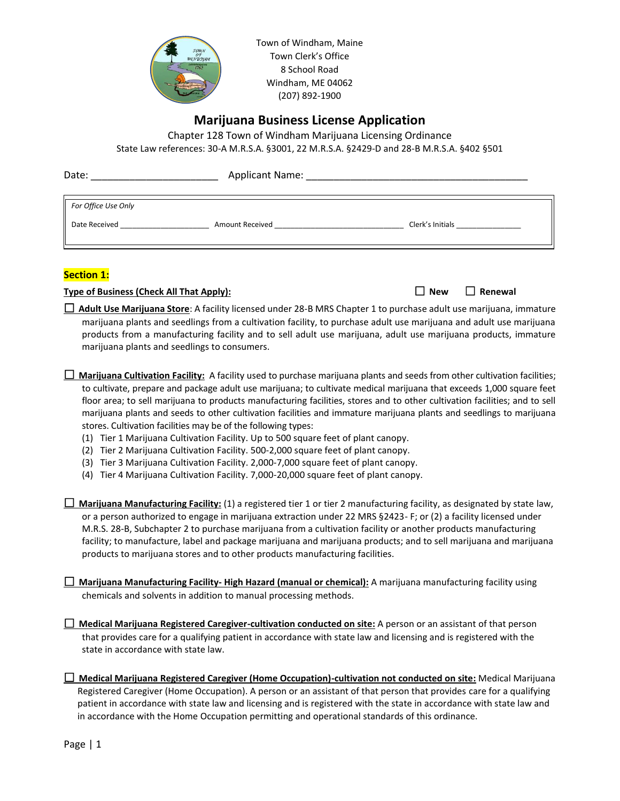

Town of Windham, Maine Town Clerk's Office 8 School Road Windham, ME 04062 (207) 892-1900

# **Marijuana Business License Application**

Chapter 128 Town of Windham Marijuana Licensing Ordinance State Law references: 30-A M.R.S.A. §3001, 22 M.R.S.A. §2429-D and 28-B M.R.S.A. §402 §501

| Date:                                | Applicant Name:        | <u> 1989 - Jan Salaman, mangalang sa kabupatèn Salaman Salaman Salaman Salaman Salaman Salaman Salaman Salaman Sa</u> |
|--------------------------------------|------------------------|-----------------------------------------------------------------------------------------------------------------------|
| For Office Use Only<br>Date Received | <b>Amount Received</b> | Clerk's Initials Clerk's                                                                                              |
|                                      |                        |                                                                                                                       |

# **Section 1:**

**Type of Business (Check All That Apply):**  $\Box$  **New**  $\Box$  **New**  $\Box$  **Renewal** 

 **Adult Use Marijuana Store**: A facility licensed under 28-B MRS Chapter 1 to purchase adult use marijuana, immature marijuana plants and seedlings from a cultivation facility, to purchase adult use marijuana and adult use marijuana products from a manufacturing facility and to sell adult use marijuana, adult use marijuana products, immature marijuana plants and seedlings to consumers.

- **Marijuana Cultivation Facility:** A facility used to purchase marijuana plants and seeds from other cultivation facilities; to cultivate, prepare and package adult use marijuana; to cultivate medical marijuana that exceeds 1,000 square feet floor area; to sell marijuana to products manufacturing facilities, stores and to other cultivation facilities; and to sell marijuana plants and seeds to other cultivation facilities and immature marijuana plants and seedlings to marijuana stores. Cultivation facilities may be of the following types:
	- (1) Tier 1 Marijuana Cultivation Facility. Up to 500 square feet of plant canopy.
	- (2) Tier 2 Marijuana Cultivation Facility. 500-2,000 square feet of plant canopy.
	- (3) Tier 3 Marijuana Cultivation Facility. 2,000-7,000 square feet of plant canopy.
	- (4) Tier 4 Marijuana Cultivation Facility. 7,000-20,000 square feet of plant canopy.

 **Marijuana Manufacturing Facility:** (1) a registered tier 1 or tier 2 manufacturing facility, as designated by state law, or a person authorized to engage in marijuana extraction under 22 MRS §2423- F; or (2) a facility licensed under M.R.S. 28-B, Subchapter 2 to purchase marijuana from a cultivation facility or another products manufacturing facility; to manufacture, label and package marijuana and marijuana products; and to sell marijuana and marijuana products to marijuana stores and to other products manufacturing facilities.

 **Marijuana Manufacturing Facility- High Hazard (manual or chemical):** A marijuana manufacturing facility using chemicals and solvents in addition to manual processing methods.

 **Medical Marijuana Registered Caregiver-cultivation conducted on site:** A person or an assistant of that person that provides care for a qualifying patient in accordance with state law and licensing and is registered with the state in accordance with state law.

 **Medical Marijuana Registered Caregiver (Home Occupation)-cultivation not conducted on site:** Medical Marijuana Registered Caregiver (Home Occupation). A person or an assistant of that person that provides care for a qualifying patient in accordance with state law and licensing and is registered with the state in accordance with state law and in accordance with the Home Occupation permitting and operational standards of this ordinance.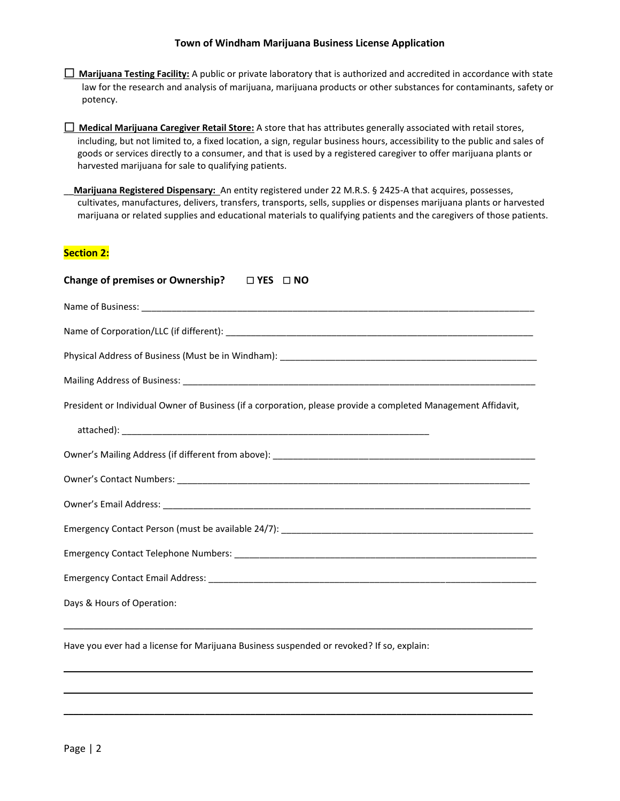#### **Town of Windham Marijuana Business License Application**

 **Marijuana Testing Facility:** A public or private laboratory that is authorized and accredited in accordance with state law for the research and analysis of marijuana, marijuana products or other substances for contaminants, safety or potency.

 **Medical Marijuana Caregiver Retail Store:** A store that has attributes generally associated with retail stores, including, but not limited to, a fixed location, a sign, regular business hours, accessibility to the public and sales of goods or services directly to a consumer, and that is used by a registered caregiver to offer marijuana plants or harvested marijuana for sale to qualifying patients.

\_\_**Marijuana Registered Dispensary:** An entity registered under 22 M.R.S. § 2425-A that acquires, possesses, cultivates, manufactures, delivers, transfers, transports, sells, supplies or dispenses marijuana plants or harvested marijuana or related supplies and educational materials to qualifying patients and the caregivers of those patients.

## **Section 2:**

| Change of premises or Ownership? $\Box$ YES $\Box$ NO                                                         |  |  |  |  |
|---------------------------------------------------------------------------------------------------------------|--|--|--|--|
|                                                                                                               |  |  |  |  |
|                                                                                                               |  |  |  |  |
|                                                                                                               |  |  |  |  |
|                                                                                                               |  |  |  |  |
| President or Individual Owner of Business (if a corporation, please provide a completed Management Affidavit, |  |  |  |  |
|                                                                                                               |  |  |  |  |
|                                                                                                               |  |  |  |  |
|                                                                                                               |  |  |  |  |
|                                                                                                               |  |  |  |  |
|                                                                                                               |  |  |  |  |
|                                                                                                               |  |  |  |  |
|                                                                                                               |  |  |  |  |
| Days & Hours of Operation:                                                                                    |  |  |  |  |

\_\_\_\_\_\_\_\_\_\_\_\_\_\_\_\_\_\_\_\_\_\_\_\_\_\_\_\_\_\_\_\_\_\_\_\_\_\_\_\_\_\_\_\_\_\_\_\_\_\_\_\_\_\_\_\_\_\_\_\_\_\_\_\_\_\_\_\_\_\_\_\_\_\_\_\_\_\_\_\_\_\_\_\_\_\_\_\_\_\_\_\_\_

 $\mathcal{L}_\mathcal{L} = \{ \mathcal{L}_\mathcal{L} = \{ \mathcal{L}_\mathcal{L} = \{ \mathcal{L}_\mathcal{L} = \{ \mathcal{L}_\mathcal{L} = \{ \mathcal{L}_\mathcal{L} = \{ \mathcal{L}_\mathcal{L} = \{ \mathcal{L}_\mathcal{L} = \{ \mathcal{L}_\mathcal{L} = \{ \mathcal{L}_\mathcal{L} = \{ \mathcal{L}_\mathcal{L} = \{ \mathcal{L}_\mathcal{L} = \{ \mathcal{L}_\mathcal{L} = \{ \mathcal{L}_\mathcal{L} = \{ \mathcal{L}_\mathcal{$ 

\_\_\_\_\_\_\_\_\_\_\_\_\_\_\_\_\_\_\_\_\_\_\_\_\_\_\_\_\_\_\_\_\_\_\_\_\_\_\_\_\_\_\_\_\_\_\_\_\_\_\_\_\_\_\_\_\_\_\_\_\_\_\_\_\_\_\_\_\_\_\_\_\_\_\_\_\_\_\_\_\_\_\_\_\_\_\_\_\_\_\_\_\_

Have you ever had a license for Marijuana Business suspended or revoked? If so, explain: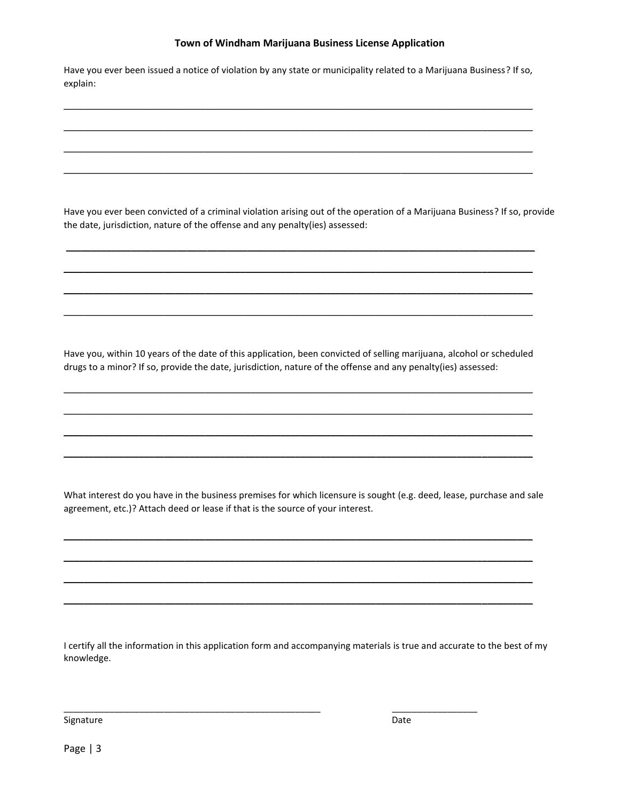### **Town of Windham Marijuana Business License Application**

Have you ever been issued a notice of violation by any state or municipality related to a Marijuana Business? If so, explain:

\_\_\_\_\_\_\_\_\_\_\_\_\_\_\_\_\_\_\_\_\_\_\_\_\_\_\_\_\_\_\_\_\_\_\_\_\_\_\_\_\_\_\_\_\_\_\_\_\_\_\_\_\_\_\_\_\_\_\_\_\_\_\_\_\_\_\_\_\_\_\_\_\_\_\_\_\_\_\_\_\_\_\_\_\_\_\_\_\_\_\_\_\_

 $\mathcal{L}_\mathcal{L} = \{ \mathcal{L}_\mathcal{L} = \{ \mathcal{L}_\mathcal{L} = \{ \mathcal{L}_\mathcal{L} = \{ \mathcal{L}_\mathcal{L} = \{ \mathcal{L}_\mathcal{L} = \{ \mathcal{L}_\mathcal{L} = \{ \mathcal{L}_\mathcal{L} = \{ \mathcal{L}_\mathcal{L} = \{ \mathcal{L}_\mathcal{L} = \{ \mathcal{L}_\mathcal{L} = \{ \mathcal{L}_\mathcal{L} = \{ \mathcal{L}_\mathcal{L} = \{ \mathcal{L}_\mathcal{L} = \{ \mathcal{L}_\mathcal{$ 

 $\mathcal{L}_\mathcal{L} = \{ \mathcal{L}_\mathcal{L} = \{ \mathcal{L}_\mathcal{L} = \{ \mathcal{L}_\mathcal{L} = \{ \mathcal{L}_\mathcal{L} = \{ \mathcal{L}_\mathcal{L} = \{ \mathcal{L}_\mathcal{L} = \{ \mathcal{L}_\mathcal{L} = \{ \mathcal{L}_\mathcal{L} = \{ \mathcal{L}_\mathcal{L} = \{ \mathcal{L}_\mathcal{L} = \{ \mathcal{L}_\mathcal{L} = \{ \mathcal{L}_\mathcal{L} = \{ \mathcal{L}_\mathcal{L} = \{ \mathcal{L}_\mathcal{$ 

\_\_\_\_\_\_\_\_\_\_\_\_\_\_\_\_\_\_\_\_\_\_\_\_\_\_\_\_\_\_\_\_\_\_\_\_\_\_\_\_\_\_\_\_\_\_\_\_\_\_\_\_\_\_\_\_\_\_\_\_\_\_\_\_\_\_\_\_\_\_\_\_\_\_\_\_\_\_\_\_\_\_\_\_\_\_\_\_\_\_\_\_\_

 $\mathcal{L}_\mathcal{L} = \{ \mathcal{L}_\mathcal{L} = \{ \mathcal{L}_\mathcal{L} = \{ \mathcal{L}_\mathcal{L} = \{ \mathcal{L}_\mathcal{L} = \{ \mathcal{L}_\mathcal{L} = \{ \mathcal{L}_\mathcal{L} = \{ \mathcal{L}_\mathcal{L} = \{ \mathcal{L}_\mathcal{L} = \{ \mathcal{L}_\mathcal{L} = \{ \mathcal{L}_\mathcal{L} = \{ \mathcal{L}_\mathcal{L} = \{ \mathcal{L}_\mathcal{L} = \{ \mathcal{L}_\mathcal{L} = \{ \mathcal{L}_\mathcal{$ 

 $\mathcal{L}_\mathcal{L} = \{ \mathcal{L}_\mathcal{L} = \{ \mathcal{L}_\mathcal{L} = \{ \mathcal{L}_\mathcal{L} = \{ \mathcal{L}_\mathcal{L} = \{ \mathcal{L}_\mathcal{L} = \{ \mathcal{L}_\mathcal{L} = \{ \mathcal{L}_\mathcal{L} = \{ \mathcal{L}_\mathcal{L} = \{ \mathcal{L}_\mathcal{L} = \{ \mathcal{L}_\mathcal{L} = \{ \mathcal{L}_\mathcal{L} = \{ \mathcal{L}_\mathcal{L} = \{ \mathcal{L}_\mathcal{L} = \{ \mathcal{L}_\mathcal{$ 

 $\mathcal{L}_\mathcal{L} = \{ \mathcal{L}_\mathcal{L} = \{ \mathcal{L}_\mathcal{L} = \{ \mathcal{L}_\mathcal{L} = \{ \mathcal{L}_\mathcal{L} = \{ \mathcal{L}_\mathcal{L} = \{ \mathcal{L}_\mathcal{L} = \{ \mathcal{L}_\mathcal{L} = \{ \mathcal{L}_\mathcal{L} = \{ \mathcal{L}_\mathcal{L} = \{ \mathcal{L}_\mathcal{L} = \{ \mathcal{L}_\mathcal{L} = \{ \mathcal{L}_\mathcal{L} = \{ \mathcal{L}_\mathcal{L} = \{ \mathcal{L}_\mathcal{$ 

 $\mathcal{L}_\mathcal{L} = \{ \mathcal{L}_\mathcal{L} = \{ \mathcal{L}_\mathcal{L} = \{ \mathcal{L}_\mathcal{L} = \{ \mathcal{L}_\mathcal{L} = \{ \mathcal{L}_\mathcal{L} = \{ \mathcal{L}_\mathcal{L} = \{ \mathcal{L}_\mathcal{L} = \{ \mathcal{L}_\mathcal{L} = \{ \mathcal{L}_\mathcal{L} = \{ \mathcal{L}_\mathcal{L} = \{ \mathcal{L}_\mathcal{L} = \{ \mathcal{L}_\mathcal{L} = \{ \mathcal{L}_\mathcal{L} = \{ \mathcal{L}_\mathcal{$ 

Have you ever been convicted of a criminal violation arising out of the operation of a Marijuana Business? If so, provide the date, jurisdiction, nature of the offense and any penalty(ies) assessed:

Have you, within 10 years of the date of this application, been convicted of selling marijuana, alcohol or scheduled drugs to a minor? If so, provide the date, jurisdiction, nature of the offense and any penalty(ies) assessed:

 $\mathcal{L}_\mathcal{L} = \{ \mathcal{L}_\mathcal{L} = \{ \mathcal{L}_\mathcal{L} = \{ \mathcal{L}_\mathcal{L} = \{ \mathcal{L}_\mathcal{L} = \{ \mathcal{L}_\mathcal{L} = \{ \mathcal{L}_\mathcal{L} = \{ \mathcal{L}_\mathcal{L} = \{ \mathcal{L}_\mathcal{L} = \{ \mathcal{L}_\mathcal{L} = \{ \mathcal{L}_\mathcal{L} = \{ \mathcal{L}_\mathcal{L} = \{ \mathcal{L}_\mathcal{L} = \{ \mathcal{L}_\mathcal{L} = \{ \mathcal{L}_\mathcal{$ 

\_\_\_\_\_\_\_\_\_\_\_\_\_\_\_\_\_\_\_\_\_\_\_\_\_\_\_\_\_\_\_\_\_\_\_\_\_\_\_\_\_\_\_\_\_\_\_\_\_\_\_\_\_\_\_\_\_\_\_\_\_\_\_\_\_\_\_\_\_\_\_\_\_\_\_\_\_\_\_\_\_\_\_\_\_\_\_\_\_\_\_\_\_

 $\mathcal{L}_\mathcal{L} = \{ \mathcal{L}_\mathcal{L} = \{ \mathcal{L}_\mathcal{L} = \{ \mathcal{L}_\mathcal{L} = \{ \mathcal{L}_\mathcal{L} = \{ \mathcal{L}_\mathcal{L} = \{ \mathcal{L}_\mathcal{L} = \{ \mathcal{L}_\mathcal{L} = \{ \mathcal{L}_\mathcal{L} = \{ \mathcal{L}_\mathcal{L} = \{ \mathcal{L}_\mathcal{L} = \{ \mathcal{L}_\mathcal{L} = \{ \mathcal{L}_\mathcal{L} = \{ \mathcal{L}_\mathcal{L} = \{ \mathcal{L}_\mathcal{$ 

\_\_\_\_\_\_\_\_\_\_\_\_\_\_\_\_\_\_\_\_\_\_\_\_\_\_\_\_\_\_\_\_\_\_\_\_\_\_\_\_\_\_\_\_\_\_\_\_\_\_\_\_\_\_\_\_\_\_\_\_\_\_\_\_\_\_\_\_\_\_\_\_\_\_\_\_\_\_\_\_\_\_\_\_\_\_\_\_\_\_\_\_\_

What interest do you have in the business premises for which licensure is sought (e.g. deed, lease, purchase and sale agreement, etc.)? Attach deed or lease if that is the source of your interest.

 $\mathcal{L}_\mathcal{L} = \{ \mathcal{L}_\mathcal{L} = \{ \mathcal{L}_\mathcal{L} = \{ \mathcal{L}_\mathcal{L} = \{ \mathcal{L}_\mathcal{L} = \{ \mathcal{L}_\mathcal{L} = \{ \mathcal{L}_\mathcal{L} = \{ \mathcal{L}_\mathcal{L} = \{ \mathcal{L}_\mathcal{L} = \{ \mathcal{L}_\mathcal{L} = \{ \mathcal{L}_\mathcal{L} = \{ \mathcal{L}_\mathcal{L} = \{ \mathcal{L}_\mathcal{L} = \{ \mathcal{L}_\mathcal{L} = \{ \mathcal{L}_\mathcal{$ 

\_\_\_\_\_\_\_\_\_\_\_\_\_\_\_\_\_\_\_\_\_\_\_\_\_\_\_\_\_\_\_\_\_\_\_\_\_\_\_\_\_\_\_\_\_\_\_\_\_\_\_\_\_\_\_\_\_\_\_\_\_\_\_\_\_\_\_\_\_\_\_\_\_\_\_\_\_\_\_\_\_\_\_\_\_\_\_\_\_\_\_\_\_

 $\mathcal{L}_\mathcal{L} = \{ \mathcal{L}_\mathcal{L} = \{ \mathcal{L}_\mathcal{L} = \{ \mathcal{L}_\mathcal{L} = \{ \mathcal{L}_\mathcal{L} = \{ \mathcal{L}_\mathcal{L} = \{ \mathcal{L}_\mathcal{L} = \{ \mathcal{L}_\mathcal{L} = \{ \mathcal{L}_\mathcal{L} = \{ \mathcal{L}_\mathcal{L} = \{ \mathcal{L}_\mathcal{L} = \{ \mathcal{L}_\mathcal{L} = \{ \mathcal{L}_\mathcal{L} = \{ \mathcal{L}_\mathcal{L} = \{ \mathcal{L}_\mathcal{$ 

\_\_\_\_\_\_\_\_\_\_\_\_\_\_\_\_\_\_\_\_\_\_\_\_\_\_\_\_\_\_\_\_\_\_\_\_\_\_\_\_\_\_\_\_\_\_\_\_\_\_\_\_\_\_\_\_\_\_\_\_\_\_\_\_\_\_\_\_\_\_\_\_\_\_\_\_\_\_\_\_\_\_\_\_\_\_\_\_\_\_\_\_\_

I certify all the information in this application form and accompanying materials is true and accurate to the best of my knowledge.

\_\_\_\_\_\_\_\_\_\_\_\_\_\_\_\_\_\_\_\_\_\_\_\_\_\_\_\_\_\_\_\_\_\_\_\_\_\_\_\_\_\_\_\_\_\_\_\_\_\_\_ \_\_\_\_\_\_\_\_\_\_\_\_\_\_\_\_\_

Signature Date

Page | 3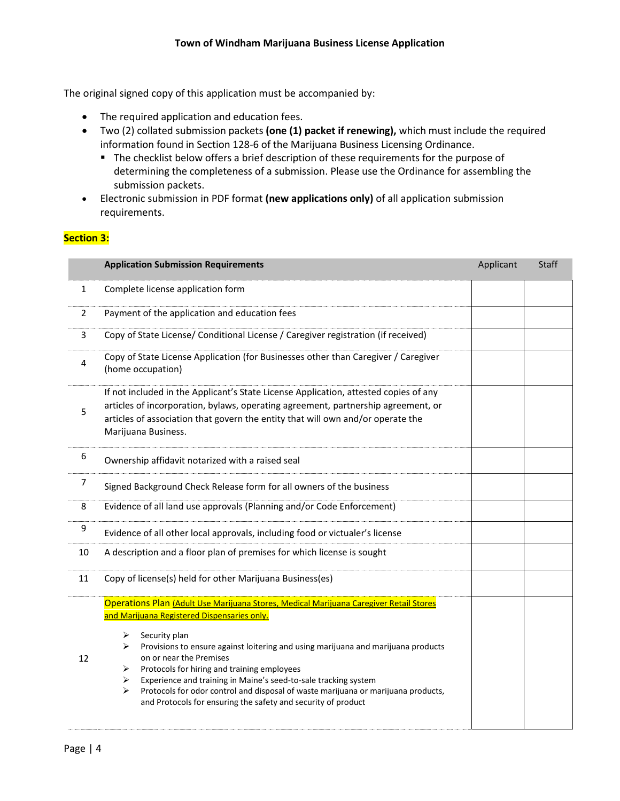The original signed copy of this application must be accompanied by:

- The required application and education fees.
- Two (2) collated submission packets **(one (1) packet if renewing),** which must include the required information found in Section 128-6 of the Marijuana Business Licensing Ordinance.
	- The checklist below offers a brief description of these requirements for the purpose of determining the completeness of a submission. Please use the Ordinance for assembling the submission packets.
- Electronic submission in PDF format **(new applications only)** of all application submission requirements.

## **Section 3:**

|                | <b>Application Submission Requirements</b>                                                                                                                                                                                                                                                                                                                                                                                                                                                                                                                              | Applicant | Staff |  |
|----------------|-------------------------------------------------------------------------------------------------------------------------------------------------------------------------------------------------------------------------------------------------------------------------------------------------------------------------------------------------------------------------------------------------------------------------------------------------------------------------------------------------------------------------------------------------------------------------|-----------|-------|--|
| 1              | Complete license application form                                                                                                                                                                                                                                                                                                                                                                                                                                                                                                                                       |           |       |  |
| $\overline{2}$ | Payment of the application and education fees                                                                                                                                                                                                                                                                                                                                                                                                                                                                                                                           |           |       |  |
| 3              | Copy of State License/ Conditional License / Caregiver registration (if received)                                                                                                                                                                                                                                                                                                                                                                                                                                                                                       |           |       |  |
| 4              | Copy of State License Application (for Businesses other than Caregiver / Caregiver<br>(home occupation)                                                                                                                                                                                                                                                                                                                                                                                                                                                                 |           |       |  |
| 5              | If not included in the Applicant's State License Application, attested copies of any<br>articles of incorporation, bylaws, operating agreement, partnership agreement, or<br>articles of association that govern the entity that will own and/or operate the<br>Marijuana Business.                                                                                                                                                                                                                                                                                     |           |       |  |
| 6              | Ownership affidavit notarized with a raised seal                                                                                                                                                                                                                                                                                                                                                                                                                                                                                                                        |           |       |  |
| 7              | Signed Background Check Release form for all owners of the business                                                                                                                                                                                                                                                                                                                                                                                                                                                                                                     |           |       |  |
| 8              | Evidence of all land use approvals (Planning and/or Code Enforcement)                                                                                                                                                                                                                                                                                                                                                                                                                                                                                                   |           |       |  |
| 9              | Evidence of all other local approvals, including food or victualer's license                                                                                                                                                                                                                                                                                                                                                                                                                                                                                            |           |       |  |
| 10             | A description and a floor plan of premises for which license is sought                                                                                                                                                                                                                                                                                                                                                                                                                                                                                                  |           |       |  |
| 11             | Copy of license(s) held for other Marijuana Business(es)                                                                                                                                                                                                                                                                                                                                                                                                                                                                                                                |           |       |  |
| 12             | Operations Plan (Adult Use Marijuana Stores, Medical Marijuana Caregiver Retail Stores<br>and Marijuana Registered Dispensaries only.<br>Security plan<br>➤<br>Provisions to ensure against loitering and using marijuana and marijuana products<br>➤<br>on or near the Premises<br>Protocols for hiring and training employees<br>➤<br>Experience and training in Maine's seed-to-sale tracking system<br>➤<br>Protocols for odor control and disposal of waste marijuana or marijuana products,<br>➤<br>and Protocols for ensuring the safety and security of product |           |       |  |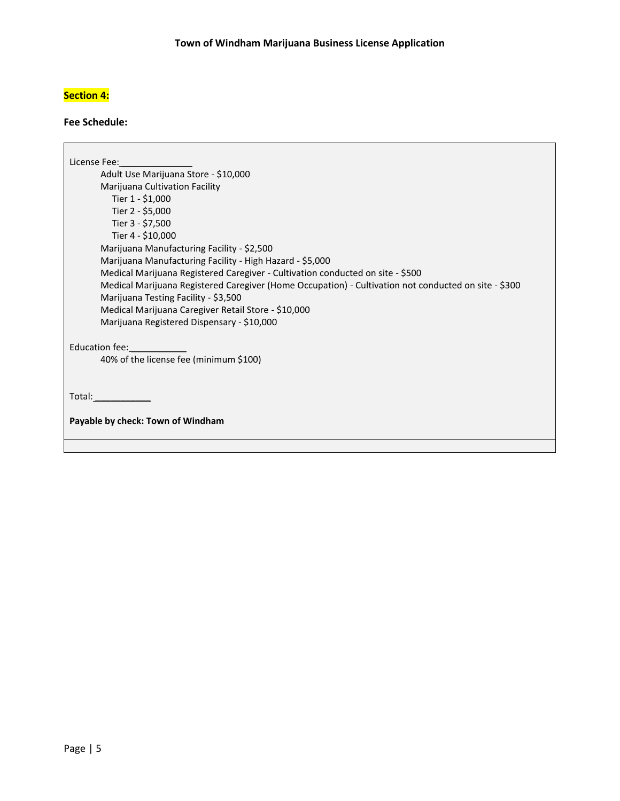# **Section 4:**

### **Fee Schedule:**

License Fee: Adult Use Marijuana Store - \$10,000 Marijuana Cultivation Facility Tier 1 - \$1,000 Tier 2 - \$5,000 Tier 3 - \$7,500 Tier 4 - \$10,000 Marijuana Manufacturing Facility - \$2,500 Marijuana Manufacturing Facility - High Hazard - \$5,000 Medical Marijuana Registered Caregiver - Cultivation conducted on site - \$500 Medical Marijuana Registered Caregiver (Home Occupation) - Cultivation not conducted on site - \$300 Marijuana Testing Facility - \$3,500 Medical Marijuana Caregiver Retail Store - \$10,000 Marijuana Registered Dispensary - \$10,000 Education fee: 40% of the license fee (minimum \$100) Total: **Payable by check: Town of Windham**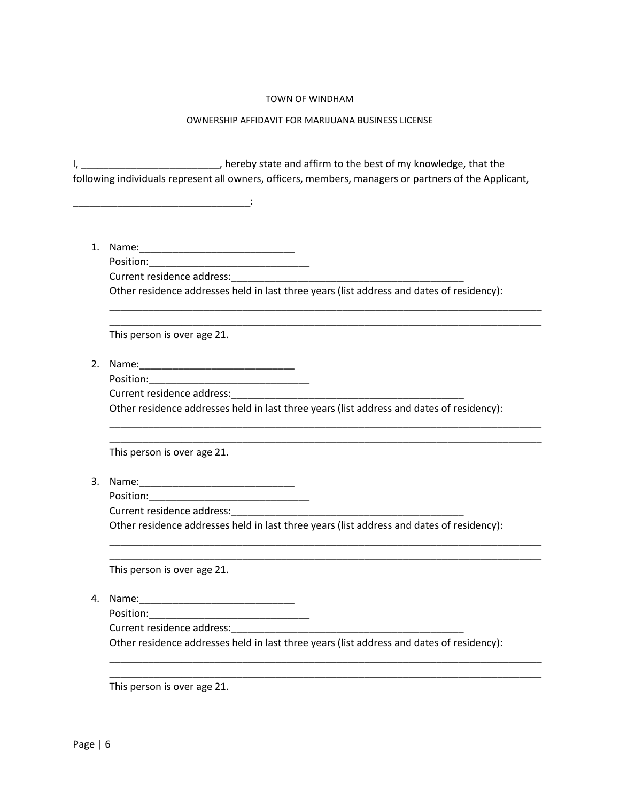### TOWN OF WINDHAM

#### OWNERSHIP AFFIDAVIT FOR MARIJUANA BUSINESS LICENSE

I, \_\_\_\_\_\_\_\_\_\_\_\_\_\_\_\_\_\_\_\_\_\_\_\_\_, hereby state and affirm to the best of my knowledge, that the following individuals represent all owners, officers, members, managers or partners of the Applicant,

1. Name:\_\_\_\_\_\_\_\_\_\_\_\_\_\_\_\_\_\_\_\_\_\_\_\_\_\_\_\_

Position:\_\_\_\_\_\_\_\_\_\_\_\_\_\_\_\_\_\_\_\_\_\_\_\_\_\_\_\_\_ Current residence address:

\_\_\_\_\_\_\_\_\_\_\_\_\_\_\_\_\_\_\_\_\_\_\_\_\_\_\_\_\_\_\_\_:

Other residence addresses held in last three years (list address and dates of residency):

\_\_\_\_\_\_\_\_\_\_\_\_\_\_\_\_\_\_\_\_\_\_\_\_\_\_\_\_\_\_\_\_\_\_\_\_\_\_\_\_\_\_\_\_\_\_\_\_\_\_\_\_\_\_\_\_\_\_\_\_\_\_\_\_\_\_\_\_\_\_\_\_\_\_\_\_\_\_ \_\_\_\_\_\_\_\_\_\_\_\_\_\_\_\_\_\_\_\_\_\_\_\_\_\_\_\_\_\_\_\_\_\_\_\_\_\_\_\_\_\_\_\_\_\_\_\_\_\_\_\_\_\_\_\_\_\_\_\_\_\_\_\_\_\_\_\_\_\_\_\_\_\_\_\_\_\_

This person is over age 21.

- 2. Name:\_\_\_\_\_\_\_\_\_\_\_\_\_\_\_\_\_\_\_\_\_\_\_\_\_\_\_\_
	- Position:\_\_\_\_\_\_\_\_\_\_\_\_\_\_\_\_\_\_\_\_\_\_\_\_\_\_\_\_\_

Current residence address:

Other residence addresses held in last three years (list address and dates of residency):

\_\_\_\_\_\_\_\_\_\_\_\_\_\_\_\_\_\_\_\_\_\_\_\_\_\_\_\_\_\_\_\_\_\_\_\_\_\_\_\_\_\_\_\_\_\_\_\_\_\_\_\_\_\_\_\_\_\_\_\_\_\_\_\_\_\_\_\_\_\_\_\_\_\_\_\_\_\_ \_\_\_\_\_\_\_\_\_\_\_\_\_\_\_\_\_\_\_\_\_\_\_\_\_\_\_\_\_\_\_\_\_\_\_\_\_\_\_\_\_\_\_\_\_\_\_\_\_\_\_\_\_\_\_\_\_\_\_\_\_\_\_\_\_\_\_\_\_\_\_\_\_\_\_\_\_\_

This person is over age 21.

- 3. Name:\_\_\_\_\_\_\_\_\_\_\_\_\_\_\_\_\_\_\_\_\_\_\_\_\_\_\_\_
	- Position:

Current residence address:\_\_\_\_\_\_\_\_\_\_\_\_\_\_\_\_\_\_\_\_\_\_\_\_\_\_\_\_\_\_\_\_\_\_\_\_\_\_\_\_\_\_

Other residence addresses held in last three years (list address and dates of residency):

\_\_\_\_\_\_\_\_\_\_\_\_\_\_\_\_\_\_\_\_\_\_\_\_\_\_\_\_\_\_\_\_\_\_\_\_\_\_\_\_\_\_\_\_\_\_\_\_\_\_\_\_\_\_\_\_\_\_\_\_\_\_\_\_\_\_\_\_\_\_\_\_\_\_\_\_\_\_ \_\_\_\_\_\_\_\_\_\_\_\_\_\_\_\_\_\_\_\_\_\_\_\_\_\_\_\_\_\_\_\_\_\_\_\_\_\_\_\_\_\_\_\_\_\_\_\_\_\_\_\_\_\_\_\_\_\_\_\_\_\_\_\_\_\_\_\_\_\_\_\_\_\_\_\_\_\_

This person is over age 21.

- 4. Name:\_\_\_\_\_\_\_\_\_\_\_\_\_\_\_\_\_\_\_\_\_\_\_\_\_\_\_\_
	- Position:

Current residence address:

Other residence addresses held in last three years (list address and dates of residency):

\_\_\_\_\_\_\_\_\_\_\_\_\_\_\_\_\_\_\_\_\_\_\_\_\_\_\_\_\_\_\_\_\_\_\_\_\_\_\_\_\_\_\_\_\_\_\_\_\_\_\_\_\_\_\_\_\_\_\_\_\_\_\_\_\_\_\_\_\_\_\_\_\_\_\_\_\_\_ \_\_\_\_\_\_\_\_\_\_\_\_\_\_\_\_\_\_\_\_\_\_\_\_\_\_\_\_\_\_\_\_\_\_\_\_\_\_\_\_\_\_\_\_\_\_\_\_\_\_\_\_\_\_\_\_\_\_\_\_\_\_\_\_\_\_\_\_\_\_\_\_\_\_\_\_\_\_

This person is over age 21.